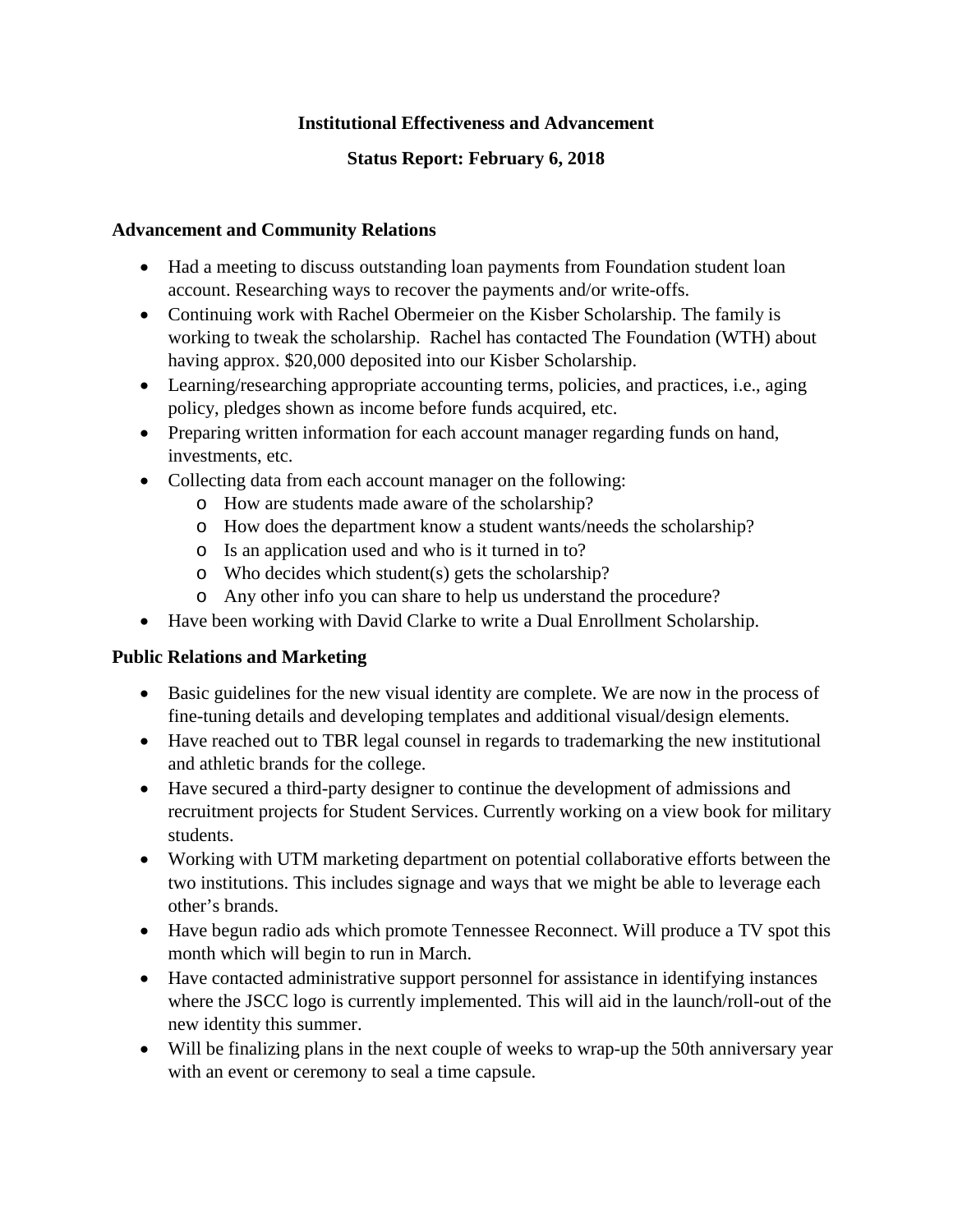## **Institutional Effectiveness and Advancement**

# **Status Report: February 6, 2018**

## **Advancement and Community Relations**

- Had a meeting to discuss outstanding loan payments from Foundation student loan account. Researching ways to recover the payments and/or write-offs.
- Continuing work with Rachel Obermeier on the Kisber Scholarship. The family is working to tweak the scholarship. Rachel has contacted The Foundation (WTH) about having approx. \$20,000 deposited into our Kisber Scholarship.
- Learning/researching appropriate accounting terms, policies, and practices, i.e., aging policy, pledges shown as income before funds acquired, etc.
- Preparing written information for each account manager regarding funds on hand, investments, etc.
- Collecting data from each account manager on the following:
	- o How are students made aware of the scholarship?
	- o How does the department know a student wants/needs the scholarship?
	- o Is an application used and who is it turned in to?
	- o Who decides which student(s) gets the scholarship?
	- o Any other info you can share to help us understand the procedure?
- Have been working with David Clarke to write a Dual Enrollment Scholarship.

## **Public Relations and Marketing**

- Basic guidelines for the new visual identity are complete. We are now in the process of fine-tuning details and developing templates and additional visual/design elements.
- Have reached out to TBR legal counsel in regards to trademarking the new institutional and athletic brands for the college.
- Have secured a third-party designer to continue the development of admissions and recruitment projects for Student Services. Currently working on a view book for military students.
- Working with UTM marketing department on potential collaborative efforts between the two institutions. This includes signage and ways that we might be able to leverage each other's brands.
- Have begun radio ads which promote Tennessee Reconnect. Will produce a TV spot this month which will begin to run in March.
- Have contacted administrative support personnel for assistance in identifying instances where the JSCC logo is currently implemented. This will aid in the launch/roll-out of the new identity this summer.
- Will be finalizing plans in the next couple of weeks to wrap-up the 50th anniversary year with an event or ceremony to seal a time capsule.